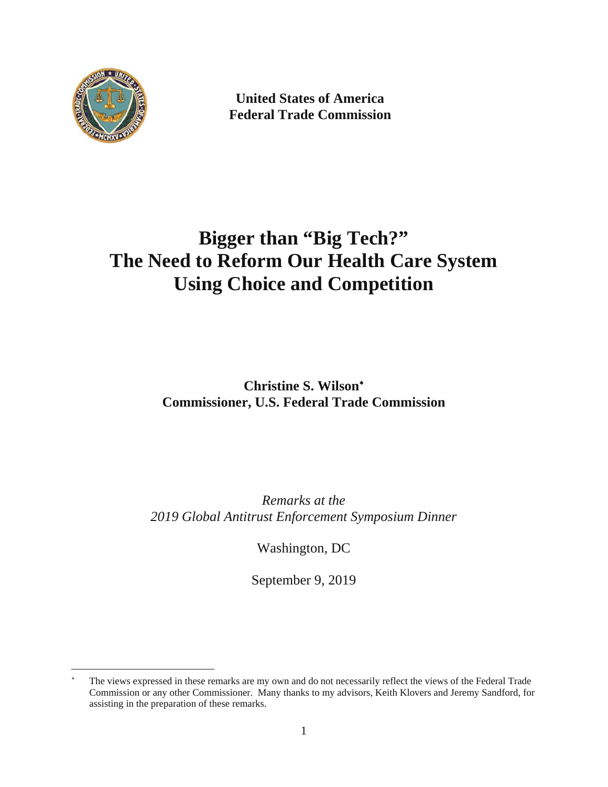

 $\overline{a}$ 

**United States of America Federal Trade Commission** 

# **Bigger than "Big Tech?" The Need to Reform Our Health Care System Using Choice and Competition**

**Christine S. Wilson Commissioner, U.S. Federal Trade Commission** 

*Remarks at the 2019 Global Antitrust Enforcement Symposium Dinner* 

Washington, DC

September 9, 2019

 Commission or any other Commissioner. Many thanks to my advisors, Keith Klovers and Jeremy Sandford, for The views expressed in these remarks are my own and do not necessarily reflect the views of the Federal Trade assisting in the preparation of these remarks.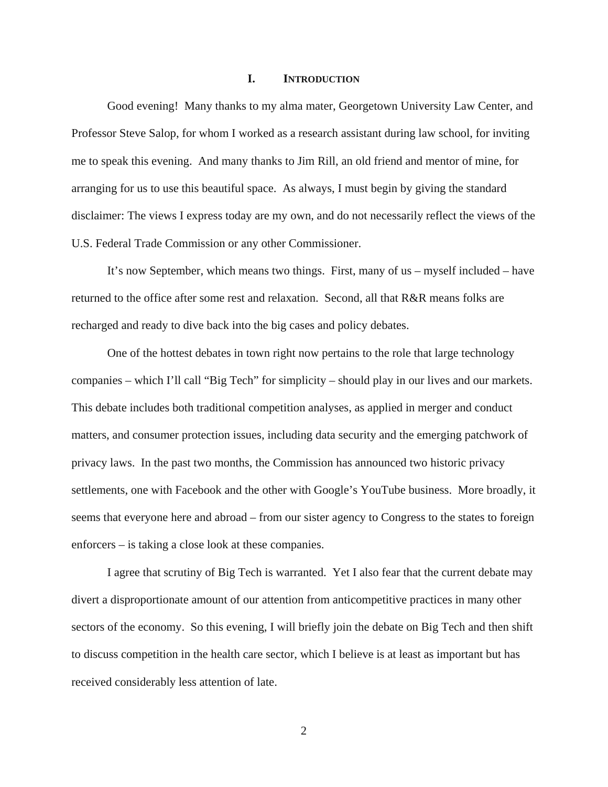#### **I. INTRODUCTION**

Good evening! Many thanks to my alma mater, Georgetown University Law Center, and Professor Steve Salop, for whom I worked as a research assistant during law school, for inviting me to speak this evening. And many thanks to Jim Rill, an old friend and mentor of mine, for arranging for us to use this beautiful space. As always, I must begin by giving the standard disclaimer: The views I express today are my own, and do not necessarily reflect the views of the U.S. Federal Trade Commission or any other Commissioner.

It's now September, which means two things. First, many of us – myself included – have returned to the office after some rest and relaxation. Second, all that R&R means folks are recharged and ready to dive back into the big cases and policy debates.

One of the hottest debates in town right now pertains to the role that large technology companies – which I'll call "Big Tech" for simplicity – should play in our lives and our markets. This debate includes both traditional competition analyses, as applied in merger and conduct matters, and consumer protection issues, including data security and the emerging patchwork of privacy laws. In the past two months, the Commission has announced two historic privacy settlements, one with Facebook and the other with Google's YouTube business. More broadly, it seems that everyone here and abroad – from our sister agency to Congress to the states to foreign enforcers – is taking a close look at these companies.

I agree that scrutiny of Big Tech is warranted. Yet I also fear that the current debate may divert a disproportionate amount of our attention from anticompetitive practices in many other sectors of the economy. So this evening, I will briefly join the debate on Big Tech and then shift to discuss competition in the health care sector, which I believe is at least as important but has received considerably less attention of late.

2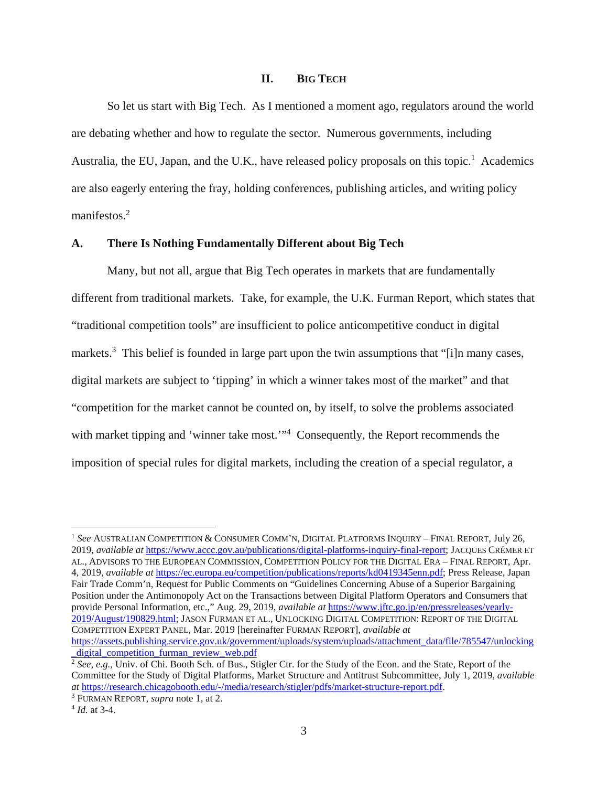## **II. BIG TECH**

So let us start with Big Tech. As I mentioned a moment ago, regulators around the world are debating whether and how to regulate the sector. Numerous governments, including Australia, the EU, Japan, and the U.K., have released policy proposals on this topic.<sup>1</sup> Academics are also eagerly entering the fray, holding conferences, publishing articles, and writing policy manifestos.<sup>2</sup>

### **A. There Is Nothing Fundamentally Different about Big Tech**

Many, but not all, argue that Big Tech operates in markets that are fundamentally different from traditional markets. Take, for example, the U.K. Furman Report, which states that "traditional competition tools" are insufficient to police anticompetitive conduct in digital markets.<sup>3</sup> This belief is founded in large part upon the twin assumptions that "[i]n many cases, digital markets are subject to 'tipping' in which a winner takes most of the market" and that "competition for the market cannot be counted on, by itself, to solve the problems associated with market tipping and 'winner take most."<sup>4</sup> Consequently, the Report recommends the imposition of special rules for digital markets, including the creation of a special regulator, a

<sup>1</sup>*See* AUSTRALIAN COMPETITION & CONSUMER COMM'N, DIGITAL PLATFORMS INQUIRY – FINAL REPORT, July 26, 2019, *available at* https://www.accc.gov.au/publications/digital-platforms-inquiry-final-report; JACQUES CRÉMER ET AL., ADVISORS TO THE EUROPEAN COMMISSION, COMPETITION POLICY FOR THE DIGITAL ERA – FINAL REPORT, Apr. 4, 2019, *available at* https://ec.europa.eu/competition/publications/reports/kd0419345enn.pdf; Press Release, Japan Fair Trade Comm'n, Request for Public Comments on "Guidelines Concerning Abuse of a Superior Bargaining Position under the Antimonopoly Act on the Transactions between Digital Platform Operators and Consumers that provide Personal Information, etc.," Aug. 29, 2019, *available at* https://www.jftc.go.jp/en/pressreleases/yearly-2019/August/190829.html; JASON FURMAN ET AL., UNLOCKING DIGITAL COMPETITION: REPORT OF THE DIGITAL COMPETITION EXPERT PANEL, Mar. 2019 [hereinafter FURMAN REPORT], *available at* 

https://assets.publishing.service.gov.uk/government/uploads/system/uploads/attachment\_data/file/785547/unlocking digital competition furman review web.pdf<br><sup>2</sup> *See*, *e.g.*, Univ. of Chi. Booth Sch. of Bus., Stigler Ctr. for the Study of the Econ. and the State, Report of the

Committee for the Study of Digital Platforms, Market Structure and Antitrust Subcommittee, July 1, 2019, *available at* https://research.chicagobooth.edu/-/media/research/stigler/pdfs/market-structure-report.pdf. 3

<sup>&</sup>lt;sup>3</sup> FURMAN REPORT, *supra* note 1, at 2.

 $4$  *Id.* at 3-4.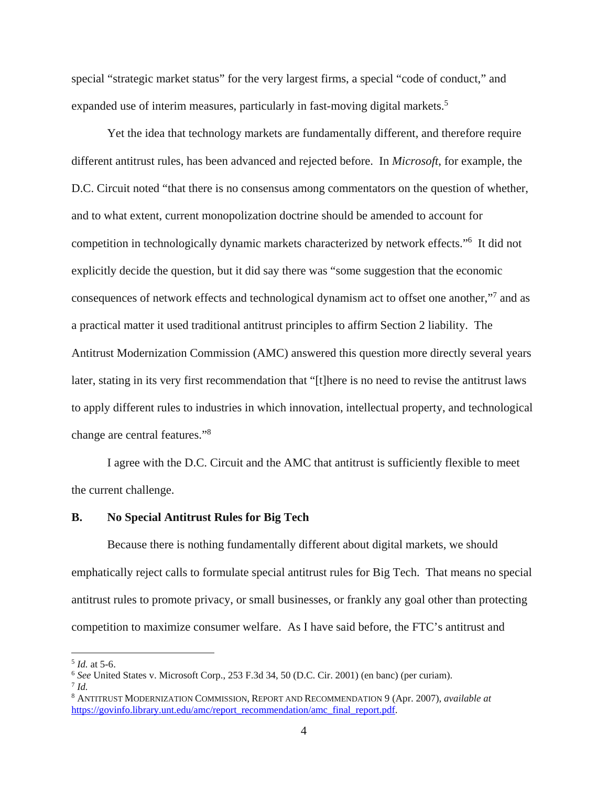special "strategic market status" for the very largest firms, a special "code of conduct," and expanded use of interim measures, particularly in fast-moving digital markets.<sup>5</sup>

Yet the idea that technology markets are fundamentally different, and therefore require different antitrust rules, has been advanced and rejected before. In *Microsoft*, for example, the D.C. Circuit noted "that there is no consensus among commentators on the question of whether, and to what extent, current monopolization doctrine should be amended to account for competition in technologically dynamic markets characterized by network effects."6 It did not explicitly decide the question, but it did say there was "some suggestion that the economic consequences of network effects and technological dynamism act to offset one another,"<sup>7</sup> and as a practical matter it used traditional antitrust principles to affirm Section 2 liability. The Antitrust Modernization Commission (AMC) answered this question more directly several years later, stating in its very first recommendation that "[t]here is no need to revise the antitrust laws to apply different rules to industries in which innovation, intellectual property, and technological change are central features."8

I agree with the D.C. Circuit and the AMC that antitrust is sufficiently flexible to meet the current challenge.

#### **B. No Special Antitrust Rules for Big Tech**

Because there is nothing fundamentally different about digital markets, we should emphatically reject calls to formulate special antitrust rules for Big Tech. That means no special antitrust rules to promote privacy, or small businesses, or frankly any goal other than protecting competition to maximize consumer welfare. As I have said before, the FTC's antitrust and

<sup>5</sup>*Id.* at 5-6. 6 *See* United States v. Microsoft Corp., 253 F.3d 34, 50 (D.C. Cir. 2001) (en banc) (per curiam). 7 *Id.* 

 $^7$  Id.

<sup>8</sup> ANTITRUST MODERNIZATION COMMISSION, REPORT AND RECOMMENDATION 9 (Apr. 2007), *available at*  https://govinfo.library.unt.edu/amc/report\_recommendation/amc\_final\_report.pdf.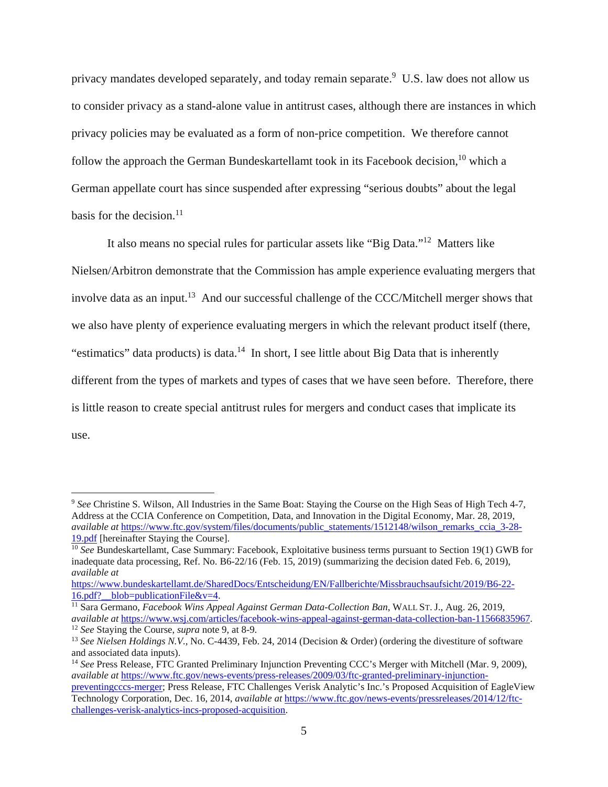privacy mandates developed separately, and today remain separate.<sup>9</sup> U.S. law does not allow us to consider privacy as a stand-alone value in antitrust cases, although there are instances in which privacy policies may be evaluated as a form of non-price competition. We therefore cannot follow the approach the German Bundeskartellamt took in its Facebook decision,<sup>10</sup> which a German appellate court has since suspended after expressing "serious doubts" about the legal basis for the decision. $^{11}$ 

It also means no special rules for particular assets like "Big Data."12 Matters like Nielsen/Arbitron demonstrate that the Commission has ample experience evaluating mergers that involve data as an input.<sup>13</sup> And our successful challenge of the CCC/Mitchell merger shows that we also have plenty of experience evaluating mergers in which the relevant product itself (there, "estimatics" data products) is data.<sup>14</sup> In short, I see little about Big Data that is inherently different from the types of markets and types of cases that we have seen before. Therefore, there is little reason to create special antitrust rules for mergers and conduct cases that implicate its use.

<sup>9</sup>*See* Christine S. Wilson, All Industries in the Same Boat: Staying the Course on the High Seas of High Tech 4-7, Address at the CCIA Conference on Competition, Data, and Innovation in the Digital Economy, Mar. 28, 2019, *available at https://www.ftc.gov/system/files/documents/public\_statements/1512148/wilson\_remarks\_ccia\_3-28-*19.pdf [hereinafter Staying the Course]. 10 *See* Bundeskartellamt, Case Summary: Facebook, Exploitative business terms pursuant to Section 19(1) GWB for

 inadequate data processing, Ref. No. B6-22/16 (Feb. 15, 2019) (summarizing the decision dated Feb. 6, 2019), *available at* 

https://www.bundeskartellamt.de/SharedDocs/Entscheidung/EN/Fallberichte/Missbrauchsaufsicht/2019/B6-22-16.pdf?\_blob=publicationFile&v=4.

<sup>&</sup>lt;sup>12</sup> See Staying the Course, *supra* note 9, at 8-9. <sup>11</sup> Sara Germano, *Facebook Wins Appeal Against German Data-Collection Ban*, WALL ST. J., Aug. 26, 2019,<br>*available at* https://www.wsj.com/articles/facebook-wins-appeal-against-german-data-collection-ban-11566835967.

<sup>&</sup>lt;sup>13</sup> See Nielsen Holdings N.V., No. C-4439, Feb. 24, 2014 (Decision & Order) (ordering the divestiture of software and associated data inputs).

<sup>14</sup>*See* Press Release, FTC Granted Preliminary Injunction Preventing CCC's Merger with Mitchell (Mar. 9, 2009), *available at* https://www.ftc.gov/news-events/press-releases/2009/03/ftc-granted-preliminary-injunctionpreventingcccs-merger; Press Release, FTC Challenges Verisk Analytic's Inc.'s Proposed Acquisition of EagleView

Technology Corporation, Dec. 16, 2014, *available at* https://www.ftc.gov/news-events/pressreleases/2014/12/ftcchallenges-verisk-analytics-incs-proposed-acquisition.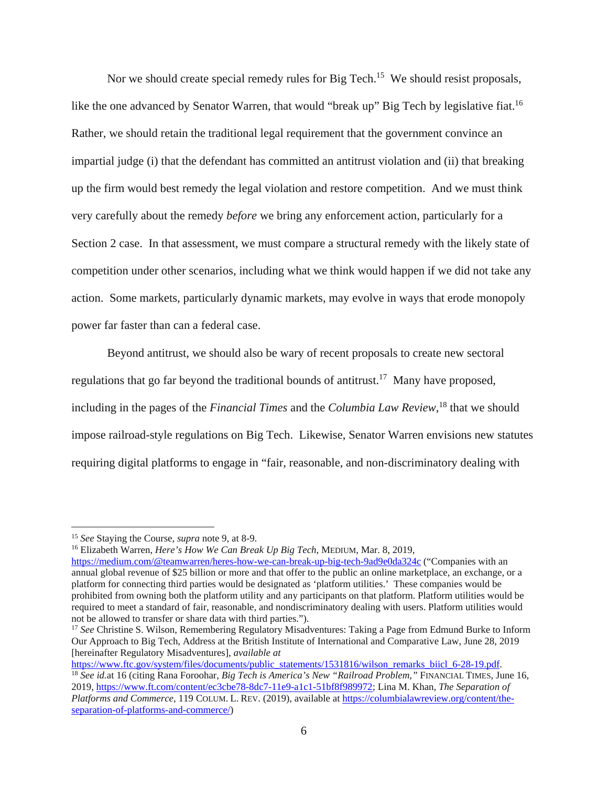like the one advanced by Senator Warren, that would "break up" Big Tech by legislative fiat.<sup>16</sup> Nor we should create special remedy rules for Big Tech.<sup>15</sup> We should resist proposals, Rather, we should retain the traditional legal requirement that the government convince an impartial judge (i) that the defendant has committed an antitrust violation and (ii) that breaking up the firm would best remedy the legal violation and restore competition. And we must think very carefully about the remedy *before* we bring any enforcement action, particularly for a Section 2 case. In that assessment, we must compare a structural remedy with the likely state of competition under other scenarios, including what we think would happen if we did not take any action. Some markets, particularly dynamic markets, may evolve in ways that erode monopoly power far faster than can a federal case.

Beyond antitrust, we should also be wary of recent proposals to create new sectoral regulations that go far beyond the traditional bounds of antitrust.<sup>17</sup> Many have proposed, including in the pages of the *Financial Times* and the *Columbia Law Review*, 18 that we should impose railroad-style regulations on Big Tech. Likewise, Senator Warren envisions new statutes requiring digital platforms to engage in "fair, reasonable, and non-discriminatory dealing with

 $\overline{a}$ 

 *Platforms and Commerce*, 119 COLUM. L. REV. (2019), available at https://columbialawreview.org/content/thehttps://www.ftc.gov/system/files/documents/public\_statements/1531816/wilson\_remarks\_biicl\_6-28-19.pdf.<br><sup>18</sup> See id.at 16 (citing Rana Foroohar, *Big Tech is America's New "Railroad Problem*," FINANCIAL TIMES, June 16, 2019, https://www.ft.com/content/ec3cbe78-8dc7-11e9-a1c1-51bf8f989972; Lina M. Khan, *The Separation of*  separation-of-platforms-and-commerce/)

https://medium.com/@teamwarren/heres-how-we-can-break-up-big-tech-9ad9e0da324c ("Companies with an platform for connecting third parties would be designated as 'platform utilities.' These companies would be prohibited from owning both the platform utility and any participants on that platform. Platform utilities would be not be allowed to transfer or share data with third parties."). not be allowed to transfer or share data with third parties.").<br><sup>17</sup> *See* Christine S. Wilson, Remembering Regulatory Misadventures: Taking a Page from Edmund Burke to Inform <sup>15</sup> See Staying the Course, *supra* note 9, at 8-9.<br><sup>16</sup> Elizabeth Warren, *Here's How We Can Break Up Big Tech*, MEDIUM, Mar. 8, 2019, annual global revenue of \$25 billion or more and that offer to the public an online marketplace, an exchange, or a required to meet a standard of fair, reasonable, and nondiscriminatory dealing with users. Platform utilities would

 Our Approach to Big Tech, Address at the British Institute of International and Comparative Law, June 28, 2019 [hereinafter Regulatory Misadventures], *available at*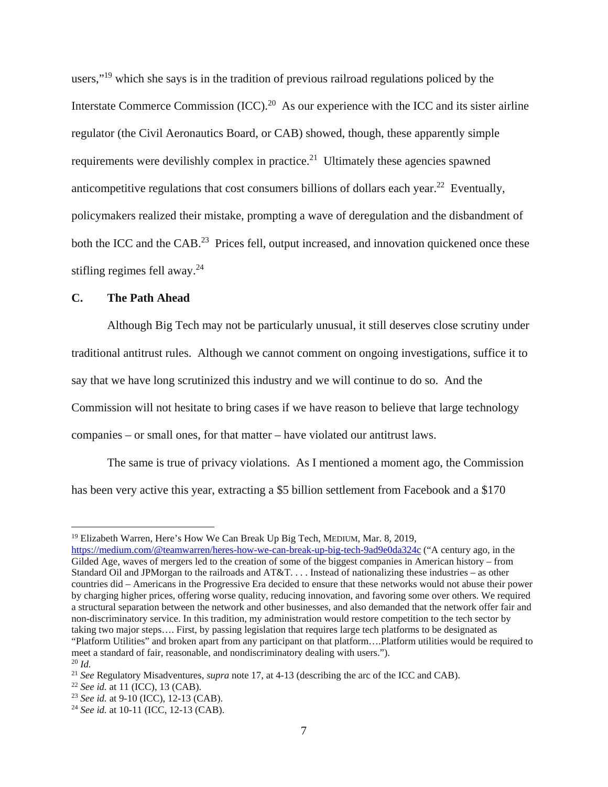users,"<sup>19</sup> which she says is in the tradition of previous railroad regulations policed by the Interstate Commerce Commission  $(ICC)$ .<sup>20</sup> As our experience with the ICC and its sister airline regulator (the Civil Aeronautics Board, or CAB) showed, though, these apparently simple requirements were devilishly complex in practice.<sup>21</sup> Ultimately these agencies spawned anticompetitive regulations that cost consumers billions of dollars each year.<sup>22</sup> Eventually, policymakers realized their mistake, prompting a wave of deregulation and the disbandment of both the ICC and the CAB<sup>23</sup> Prices fell, output increased, and innovation quickened once these stifling regimes fell away.<sup>24</sup>

# **C. The Path Ahead**

Although Big Tech may not be particularly unusual, it still deserves close scrutiny under traditional antitrust rules. Although we cannot comment on ongoing investigations, suffice it to say that we have long scrutinized this industry and we will continue to do so. And the Commission will not hesitate to bring cases if we have reason to believe that large technology companies – or small ones, for that matter – have violated our antitrust laws.

The same is true of privacy violations. As I mentioned a moment ago, the Commission has been very active this year, extracting a \$5 billion settlement from Facebook and a \$170

<sup>&</sup>lt;sup>19</sup> Elizabeth Warren, Here's How We Can Break Up Big Tech, MEDIUM, Mar. 8, 2019,

 non-discriminatory service. In this tradition, my administration would restore competition to the tech sector by "Platform Utilities" and broken apart from any participant on that platform….Platform utilities would be required to https://medium.com/@teamwarren/heres-how-we-can-break-up-big-tech-9ad9e0da324c ("A century ago, in the Gilded Age, waves of mergers led to the creation of some of the biggest companies in American history – from Standard Oil and JPMorgan to the railroads and AT&T. . . . Instead of nationalizing these industries – as other countries did – Americans in the Progressive Era decided to ensure that these networks would not abuse their power by charging higher prices, offering worse quality, reducing innovation, and favoring some over others. We required a structural separation between the network and other businesses, and also demanded that the network offer fair and taking two major steps…. First, by passing legislation that requires large tech platforms to be designated as meet a standard of fair, reasonable, and nondiscriminatory dealing with users.").

 $20$  *Id.* 

<sup>&</sup>lt;sup>21</sup> See Regulatory Misadventures, *supra* note 17, at 4-13 (describing the arc of the ICC and CAB).<br><sup>22</sup> See id. at 11 (ICC), 13 (CAB).

<sup>&</sup>lt;sup>23</sup> See id. at 9-10 (ICC), 12-13 (CAB).<br><sup>24</sup> See id. at 10-11 (ICC, 12-13 (CAB).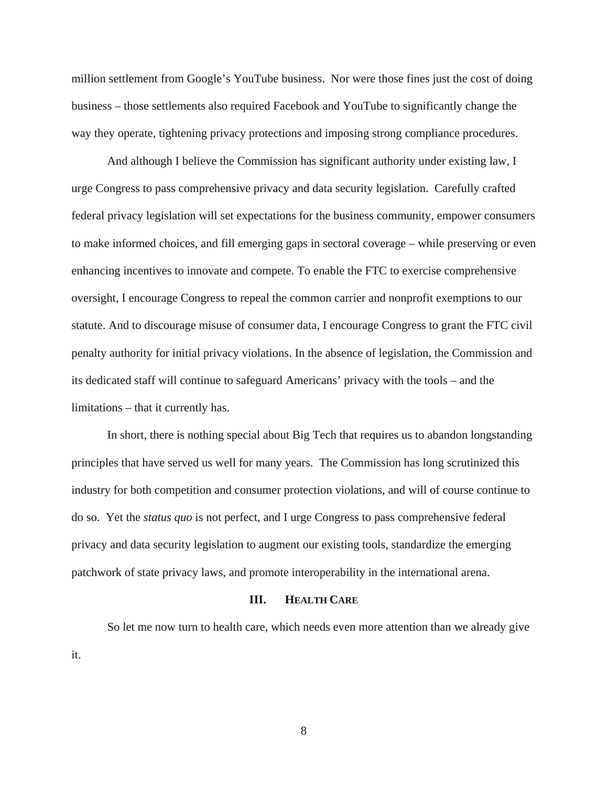million settlement from Google's YouTube business. Nor were those fines just the cost of doing business – those settlements also required Facebook and YouTube to significantly change the way they operate, tightening privacy protections and imposing strong compliance procedures.

And although I believe the Commission has significant authority under existing law, I urge Congress to pass comprehensive privacy and data security legislation. Carefully crafted federal privacy legislation will set expectations for the business community, empower consumers to make informed choices, and fill emerging gaps in sectoral coverage – while preserving or even enhancing incentives to innovate and compete. To enable the FTC to exercise comprehensive oversight, I encourage Congress to repeal the common carrier and nonprofit exemptions to our statute. And to discourage misuse of consumer data, I encourage Congress to grant the FTC civil penalty authority for initial privacy violations. In the absence of legislation, the Commission and its dedicated staff will continue to safeguard Americans' privacy with the tools – and the limitations – that it currently has.

In short, there is nothing special about Big Tech that requires us to abandon longstanding principles that have served us well for many years. The Commission has long scrutinized this industry for both competition and consumer protection violations, and will of course continue to do so. Yet the *status quo* is not perfect, and I urge Congress to pass comprehensive federal privacy and data security legislation to augment our existing tools, standardize the emerging patchwork of state privacy laws, and promote interoperability in the international arena.

#### **III. HEALTH CARE**

So let me now turn to health care, which needs even more attention than we already give it.

8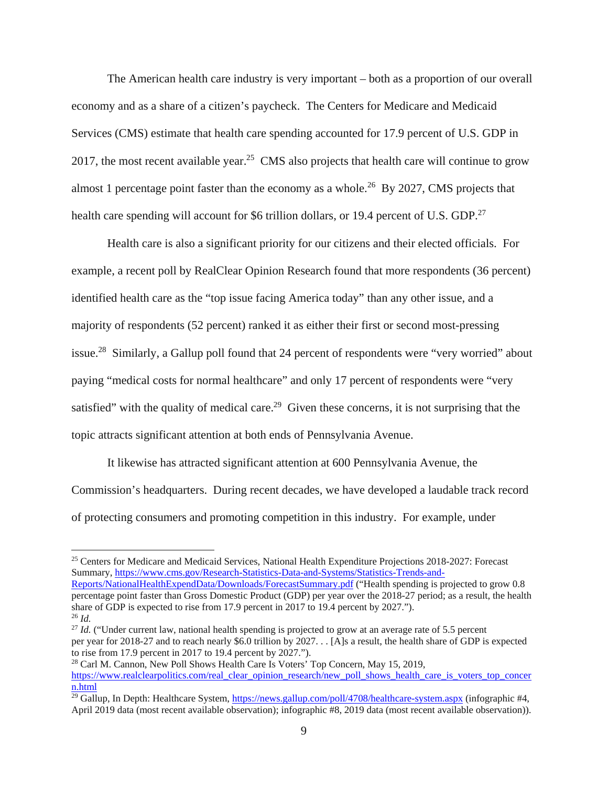The American health care industry is very important – both as a proportion of our overall economy and as a share of a citizen's paycheck. The Centers for Medicare and Medicaid Services (CMS) estimate that health care spending accounted for 17.9 percent of U.S. GDP in 2017, the most recent available year.<sup>25</sup> CMS also projects that health care will continue to grow almost 1 percentage point faster than the economy as a whole.<sup>26</sup> By 2027, CMS projects that health care spending will account for \$6 trillion dollars, or 19.4 percent of U.S. GDP.<sup>27</sup>

Health care is also a significant priority for our citizens and their elected officials. For example, a recent poll by RealClear Opinion Research found that more respondents (36 percent) identified health care as the "top issue facing America today" than any other issue, and a majority of respondents (52 percent) ranked it as either their first or second most-pressing issue.28 Similarly, a Gallup poll found that 24 percent of respondents were "very worried" about paying "medical costs for normal healthcare" and only 17 percent of respondents were "very satisfied" with the quality of medical care.<sup>29</sup> Given these concerns, it is not surprising that the topic attracts significant attention at both ends of Pennsylvania Avenue.

It likewise has attracted significant attention at 600 Pennsylvania Avenue, the Commission's headquarters. During recent decades, we have developed a laudable track record of protecting consumers and promoting competition in this industry. For example, under

Reports/NationalHealthExpendData/Downloads/ForecastSummary.pdf ("Health spending is projected to grow 0.8 <sup>25</sup> Centers for Medicare and Medicaid Services, National Health Expenditure Projections 2018-2027: Forecast Summary, https://www.cms.gov/Research-Statistics-Data-and-Systems/Statistics-Trends-and-

 share of GDP is expected to rise from 17.9 percent in 2017 to 19.4 percent by 2027."). 26 *Id.*  $^{26}$  *Id.* percentage point faster than Gross Domestic Product (GDP) per year over the 2018-27 period; as a result, the health

 to rise from 17.9 percent in 2017 to 19.4 percent by 2027."). <sup>27</sup> Id. ("Under current law, national health spending is projected to grow at an average rate of 5.5 percent per year for 2018-27 and to reach nearly \$6.0 trillion by 2027. . . [A]s a result, the health share of GDP is expected

<sup>28</sup> Carl M. Cannon, New Poll Shows Health Care Is Voters' Top Concern, May 15, 2019, https://www.realclearpolitics.com/real\_clear\_opinion\_research/new\_poll\_shows\_health\_care\_is\_voters\_top\_concer n.html

<sup>&</sup>lt;sup>29</sup> Gallup, In Depth: Healthcare System, https://news.gallup.com/poll/4708/healthcare-system.aspx (infographic #4, April 2019 data (most recent available observation); infographic #8, 2019 data (most recent available observation)).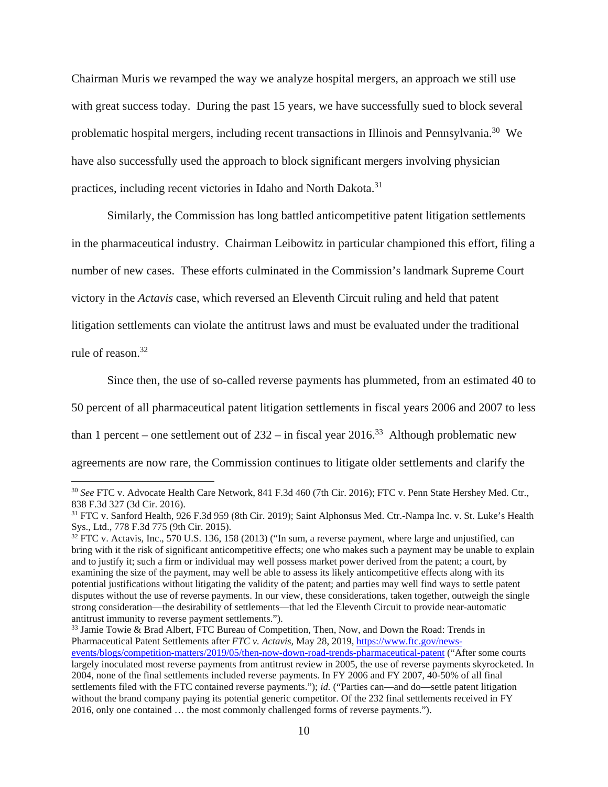Chairman Muris we revamped the way we analyze hospital mergers, an approach we still use with great success today. During the past 15 years, we have successfully sued to block several problematic hospital mergers, including recent transactions in Illinois and Pennsylvania.30 We have also successfully used the approach to block significant mergers involving physician practices, including recent victories in Idaho and North Dakota.<sup>31</sup>

Similarly, the Commission has long battled anticompetitive patent litigation settlements in the pharmaceutical industry. Chairman Leibowitz in particular championed this effort, filing a number of new cases. These efforts culminated in the Commission's landmark Supreme Court victory in the *Actavis* case, which reversed an Eleventh Circuit ruling and held that patent litigation settlements can violate the antitrust laws and must be evaluated under the traditional

rule of reason.<sup>32</sup>

-

Since then, the use of so-called reverse payments has plummeted, from an estimated 40 to 50 percent of all pharmaceutical patent litigation settlements in fiscal years 2006 and 2007 to less than 1 percent – one settlement out of  $232 - in$  fiscal year  $2016<sup>33</sup>$  Although problematic new agreements are now rare, the Commission continues to litigate older settlements and clarify the

events/blogs/competition-matters/2019/05/then-now-down-road-trends-pharmaceutical-patent ("After some courts 2016, only one contained … the most commonly challenged forms of reverse payments."). 33 Jamie Towie & Brad Albert, FTC Bureau of Competition, Then, Now, and Down the Road: Trends in Pharmaceutical Patent Settlements after *FTC v. Actavis*, May 28, 2019, https://www.ftc.gov/newslargely inoculated most reverse payments from antitrust review in 2005, the use of reverse payments skyrocketed. In 2004, none of the final settlements included reverse payments. In FY 2006 and FY 2007, 40-50% of all final settlements filed with the FTC contained reverse payments."); *id.* ("Parties can—and do—settle patent litigation without the brand company paying its potential generic competitor. Of the 232 final settlements received in FY

<sup>30</sup>*See* FTC v. Advocate Health Care Network, 841 F.3d 460 (7th Cir. 2016); FTC v. Penn State Hershey Med. Ctr., 838 F.3d 327 (3d Cir. 2016).

 Sys., Ltd., 778 F.3d 775 (9th Cir. 2015). 31 FTC v. Sanford Health, 926 F.3d 959 (8th Cir. 2019); Saint Alphonsus Med. Ctr.-Nampa Inc. v. St. Luke's Health

 $32$  FTC v. Actavis, Inc., 570 U.S. 136, 158 (2013) ("In sum, a reverse payment, where large and unjustified, can disputes without the use of reverse payments. In our view, these considerations, taken together, outweigh the single bring with it the risk of significant anticompetitive effects; one who makes such a payment may be unable to explain and to justify it; such a firm or individual may well possess market power derived from the patent; a court, by examining the size of the payment, may well be able to assess its likely anticompetitive effects along with its potential justifications without litigating the validity of the patent; and parties may well find ways to settle patent strong consideration—the desirability of settlements—that led the Eleventh Circuit to provide near-automatic antitrust immunity to reverse payment settlements.").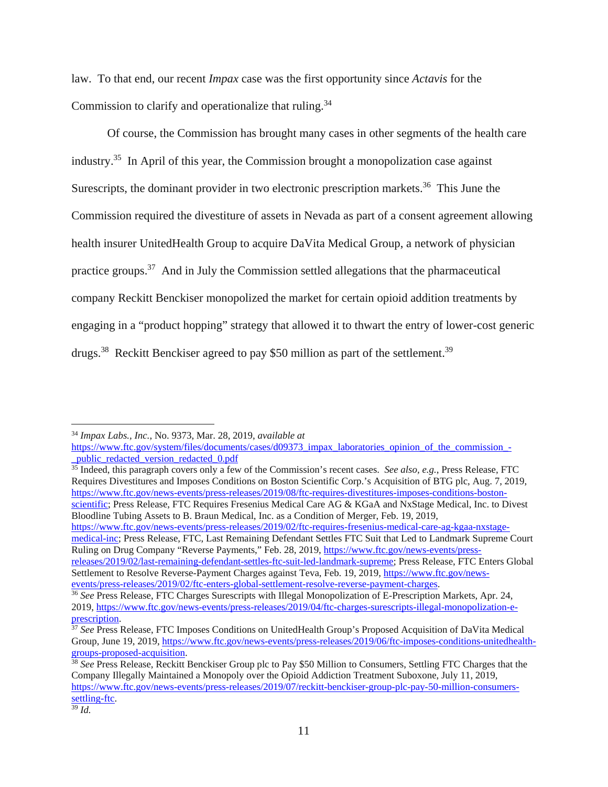Commission to clarify and operationalize that ruling.<sup>34</sup> law. To that end, our recent *Impax* case was the first opportunity since *Actavis* for the

Of course, the Commission has brought many cases in other segments of the health care industry.35 In April of this year, the Commission brought a monopolization case against Surescripts, the dominant provider in two electronic prescription markets.<sup>36</sup> This June the Commission required the divestiture of assets in Nevada as part of a consent agreement allowing health insurer UnitedHealth Group to acquire DaVita Medical Group, a network of physician practice groups.37 And in July the Commission settled allegations that the pharmaceutical company Reckitt Benckiser monopolized the market for certain opioid addition treatments by engaging in a "product hopping" strategy that allowed it to thwart the entry of lower-cost generic drugs.<sup>38</sup> Reckitt Benckiser agreed to pay \$50 million as part of the settlement.<sup>39</sup>

35 Indeed, this paragraph covers only a few of the Commission's recent cases. *See also, e.g.*, Press Release, FTC Requires Divestitures and Imposes Conditions on Boston Scientific Corp.'s Acquisition of BTG plc, Aug. 7, 2019, https://www.ftc.gov/news-events/press-releases/2019/08/ftc-requires-divestitures-imposes-conditions-bostonscientific; Press Release, FTC Requires Fresenius Medical Care AG & KGaA and NxStage Medical, Inc. to Divest Bloodline Tubing Assets to B. Braun Medical, Inc. as a Condition of Merger, Feb. 19, 2019,

https://www.ftc.gov/news-events/press-releases/2019/02/ftc-requires-fresenius-medical-care-ag-kgaa-nxstagemedical-inc; Press Release, FTC, Last Remaining Defendant Settles FTC Suit that Led to Landmark Supreme Court Ruling on Drug Company "Reverse Payments," Feb. 28, 2019, https://www.ftc.gov/news-events/pressreleases/2019/02/last-remaining-defendant-settles-ftc-suit-led-landmark-supreme; Press Release, FTC Enters Global Settlement to Resolve Reverse-Payment Charges against Teva, Feb. 19, 2019, https://www.ftc.gov/news-<br>events/press-releases/2019/02/ftc-enters-global-settlement-resolve-reverse-payment-charges.

<sup>34</sup>*Impax Labs., Inc.*, No. 9373, Mar. 28, 2019, *available at* 

https://www.ftc.gov/system/files/documents/cases/d09373\_impax\_laboratories\_opinion\_of\_the\_commission\_-\_public\_redacted\_version\_redacted\_0.pdf

<sup>&</sup>lt;sup>36</sup> See Press Release, FTC Charges Surescripts with Illegal Monopolization of E-Prescription Markets, Apr. 24, 2019, https://www.ftc.gov/news-events/press-releases/2019/04/ftc-charges-surescripts-illegal-monopolization-e-<br>prescription.

<sup>&</sup>lt;sup>37</sup> See Press Release, FTC Imposes Conditions on UnitedHealth Group's Proposed Acquisition of DaVita Medical Group, June 19, 2019, https://www.ftc.gov/news-events/press-releases/2019/06/ftc-imposes-conditions-unitedhealthgroups-proposed-acquisition. 38 *See* Press Release, Reckitt Benckiser Group plc to Pay \$50 Million to Consumers, Settling FTC Charges that the

Company Illegally Maintained a Monopoly over the Opioid Addiction Treatment Suboxone, July 11, 2019, https://www.ftc.gov/news-events/press-releases/2019/07/reckitt-benckiser-group-plc-pay-50-million-consumerssettling-ftc.

 $39$  Id.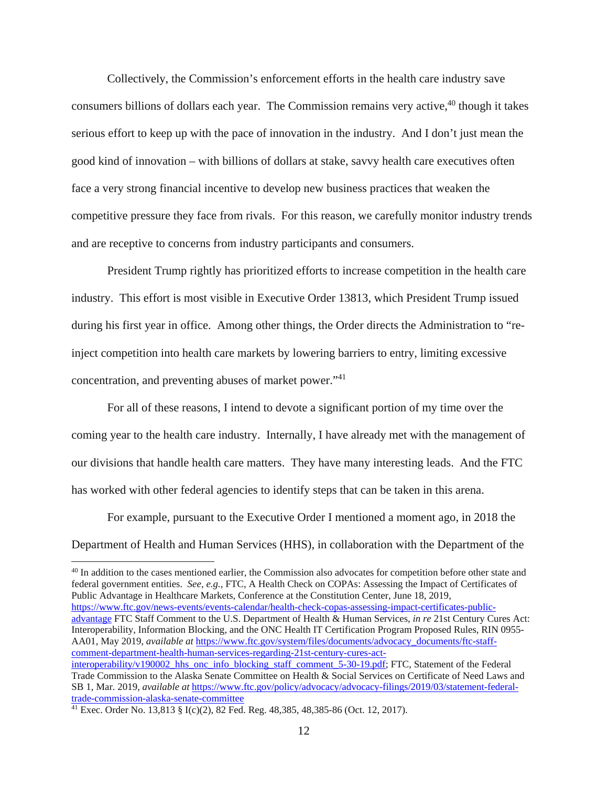Collectively, the Commission's enforcement efforts in the health care industry save consumers billions of dollars each year. The Commission remains very active,<sup>40</sup> though it takes serious effort to keep up with the pace of innovation in the industry. And I don't just mean the good kind of innovation – with billions of dollars at stake, savvy health care executives often face a very strong financial incentive to develop new business practices that weaken the competitive pressure they face from rivals. For this reason, we carefully monitor industry trends and are receptive to concerns from industry participants and consumers.

President Trump rightly has prioritized efforts to increase competition in the health care industry. This effort is most visible in Executive Order 13813, which President Trump issued during his first year in office. Among other things, the Order directs the Administration to "reinject competition into health care markets by lowering barriers to entry, limiting excessive concentration, and preventing abuses of market power."<sup>41</sup>

For all of these reasons, I intend to devote a significant portion of my time over the coming year to the health care industry. Internally, I have already met with the management of our divisions that handle health care matters. They have many interesting leads. And the FTC has worked with other federal agencies to identify steps that can be taken in this arena.

For example, pursuant to the Executive Order I mentioned a moment ago, in 2018 the Department of Health and Human Services (HHS), in collaboration with the Department of the

 federal government entities. *See, e.g.*, FTC, A Health Check on COPAs: Assessing the Impact of Certificates of advantage FTC Staff Comment to the U.S. Department of Health & Human Services, *in re* 21st Century Cures Act: <sup>40</sup> In addition to the cases mentioned earlier, the Commission also advocates for competition before other state and Public Advantage in Healthcare Markets, Conference at the Constitution Center, June 18, 2019, https://www.ftc.gov/news-events/events-calendar/health-check-copas-assessing-impact-certificates-public-Interoperability, Information Blocking, and the ONC Health IT Certification Program Proposed Rules, RIN 0955- AA01, May 2019, *available at https://www.ftc.gov/system/files/documents/advocacy\_documents/ftc-staff*comment-department-health-human-services-regarding-21st-century-cures-actinteroperability/v190002\_hhs\_onc\_info\_blocking\_staff\_comment\_5-30-19.pdf; FTC, Statement of the Federal

<sup>&</sup>lt;u>trade-commission-alaska-senate-committee</u><br><sup>41</sup> Exec. Order No. 13,813 § I(c)(2), 82 Fed. Reg. 48,385, 48,385-86 (Oct. 12, 2017). Trade Commission to the Alaska Senate Committee on Health & Social Services on Certificate of Need Laws and SB 1, Mar. 2019, *available at* https://www.ftc.gov/policy/advocacy/advocacy-filings/2019/03/statement-federal-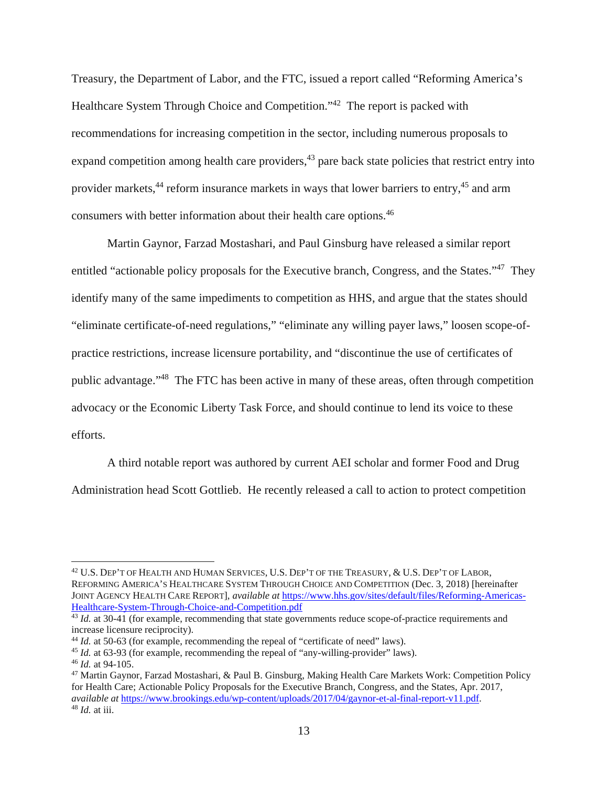Treasury, the Department of Labor, and the FTC, issued a report called "Reforming America's Healthcare System Through Choice and Competition."<sup>42</sup> The report is packed with recommendations for increasing competition in the sector, including numerous proposals to expand competition among health care providers,  $43$  pare back state policies that restrict entry into provider markets,<sup>44</sup> reform insurance markets in ways that lower barriers to entry,<sup>45</sup> and arm consumers with better information about their health care options.46

Martin Gaynor, Farzad Mostashari, and Paul Ginsburg have released a similar report entitled "actionable policy proposals for the Executive branch, Congress, and the States."47 They identify many of the same impediments to competition as HHS, and argue that the states should "eliminate certificate-of-need regulations," "eliminate any willing payer laws," loosen scope-ofpractice restrictions, increase licensure portability, and "discontinue the use of certificates of public advantage."48 The FTC has been active in many of these areas, often through competition advocacy or the Economic Liberty Task Force, and should continue to lend its voice to these efforts.

A third notable report was authored by current AEI scholar and former Food and Drug Administration head Scott Gottlieb. He recently released a call to action to protect competition

<sup>42</sup> U.S. DEP'T OF HEALTH AND HUMAN SERVICES, U.S. DEP'T OF THE TREASURY, & U.S. DEP'T OF LABOR, REFORMING AMERICA'S HEALTHCARE SYSTEM THROUGH CHOICE AND COMPETITION (Dec. 3, 2018) [hereinafter JOINT AGENCY HEALTH CARE REPORT], *available at* https://www.hhs.gov/sites/default/files/Reforming-Americas-Healthcare-System-Through-Choice-and-Competition.pdf

<sup>&</sup>lt;sup>43</sup> Id. at 30-41 (for example, recommending that state governments reduce scope-of-practice requirements and increase licensure reciprocity).<br><sup>44</sup> *Id.* at 50-63 (for example, recommending the repeal of "certificate of need" laws).

<sup>&</sup>lt;sup>44</sup> *Id.* at 50-63 (for example, recommending the repeal of "certificate of need" laws).<br><sup>45</sup> *Id.* at 63-93 (for example, recommending the repeal of "any-willing-provider" laws).<br><sup>46</sup> *Id.* at 94-105.<br><sup>47</sup> Martin Gaynor, for Health Care; Actionable Policy Proposals for the Executive Branch, Congress, and the States, Apr. 2017, *available at* https://www.brookings.edu/wp-content/uploads/2017/04/gaynor-et-al-final-report-v11.pdf. 48 *Id.* at iii.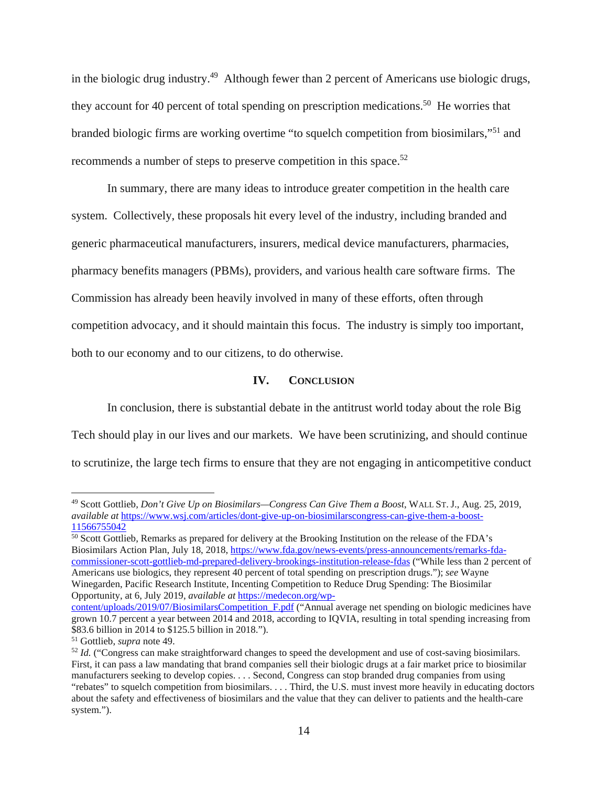in the biologic drug industry.49 Although fewer than 2 percent of Americans use biologic drugs, they account for 40 percent of total spending on prescription medications.<sup>50</sup> He worries that branded biologic firms are working overtime "to squelch competition from biosimilars,"51 and recommends a number of steps to preserve competition in this space.<sup>52</sup>

In summary, there are many ideas to introduce greater competition in the health care system. Collectively, these proposals hit every level of the industry, including branded and generic pharmaceutical manufacturers, insurers, medical device manufacturers, pharmacies, pharmacy benefits managers (PBMs), providers, and various health care software firms. The Commission has already been heavily involved in many of these efforts, often through competition advocacy, and it should maintain this focus. The industry is simply too important, both to our economy and to our citizens, to do otherwise.

### **IV. CONCLUSION**

In conclusion, there is substantial debate in the antitrust world today about the role Big Tech should play in our lives and our markets. We have been scrutinizing, and should continue to scrutinize, the large tech firms to ensure that they are not engaging in anticompetitive conduct

<sup>49</sup> Scott Gottlieb, *Don't Give Up on Biosimilars—Congress Can Give Them a Boost*, WALL ST. J., Aug. 25, 2019, *available at* https://www.wsj.com/articles/dont-give-up-on-biosimilarscongress-can-give-them-a-boost-11566755042

commissioner-scott-gottlieb-md-prepared-delivery-brookings-institution-release-fdas ("While less than 2 percent of Americans use biologics, they represent 40 percent of total spending on prescription drugs."); *see* Wayne <sup>50</sup> Scott Gottlieb, Remarks as prepared for delivery at the Brooking Institution on the release of the FDA's Biosimilars Action Plan, July 18, 2018, https://www.fda.gov/news-events/press-announcements/remarks-fda-Winegarden, Pacific Research Institute, Incenting Competition to Reduce Drug Spending: The Biosimilar Opportunity, at 6, July 2019, *available at* https://medecon.org/wp-

 \$83.6 billion in 2014 to \$125.5 billion in 2018."). content/uploads/2019/07/BiosimilarsCompetition F.pdf ("Annual average net spending on biologic medicines have grown 10.7 percent a year between 2014 and 2018, according to IQVIA, resulting in total spending increasing from

 manufacturers seeking to develop copies. . . . Second, Congress can stop branded drug companies from using <sup>51</sup> Gottlieb, *supra* note 49.<br><sup>52</sup> *Id.* ("Congress can make straightforward changes to speed the development and use of cost-saving biosimilars. First, it can pass a law mandating that brand companies sell their biologic drugs at a fair market price to biosimilar "rebates" to squelch competition from biosimilars. . . . Third, the U.S. must invest more heavily in educating doctors about the safety and effectiveness of biosimilars and the value that they can deliver to patients and the health-care system.").